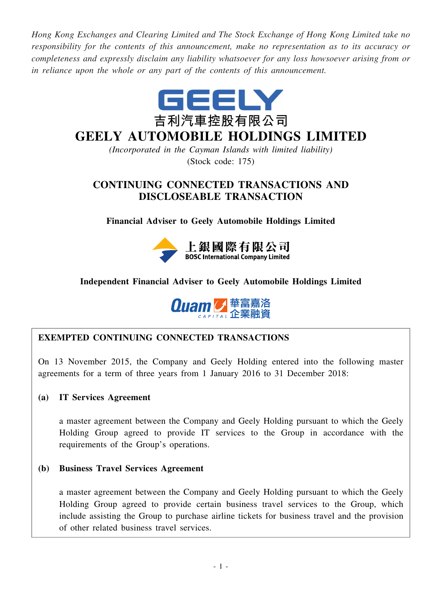*Hong Kong Exchanges and Clearing Limited and The Stock Exchange of Hong Kong Limited take no responsibility for the contents of this announcement, make no representation as to its accuracy or completeness and expressly disclaim any liability whatsoever for any loss howsoever arising from or in reliance upon the whole or any part of the contents of this announcement.*



# **GEELY AUTOMOBILE HOLDINGS LIMITED**

*(Incorporated in the Cayman Islands with limited liability)* (Stock code: 175)

# **CONTINUING CONNECTED TRANSACTIONS AND DISCLOSEABLE TRANSACTION**

**Financial Adviser to Geely Automobile Holdings Limited**



# **Independent Financial Adviser to Geely Automobile Holdings Limited**



# **EXEMPTED CONTINUING CONNECTED TRANSACTIONS**

On 13 November 2015, the Company and Geely Holding entered into the following master agreements for a term of three years from 1 January 2016 to 31 December 2018:

# **(a) IT Services Agreement**

a master agreement between the Company and Geely Holding pursuant to which the Geely Holding Group agreed to provide IT services to the Group in accordance with the requirements of the Group's operations.

## **(b) Business Travel Services Agreement**

a master agreement between the Company and Geely Holding pursuant to which the Geely Holding Group agreed to provide certain business travel services to the Group, which include assisting the Group to purchase airline tickets for business travel and the provision of other related business travel services.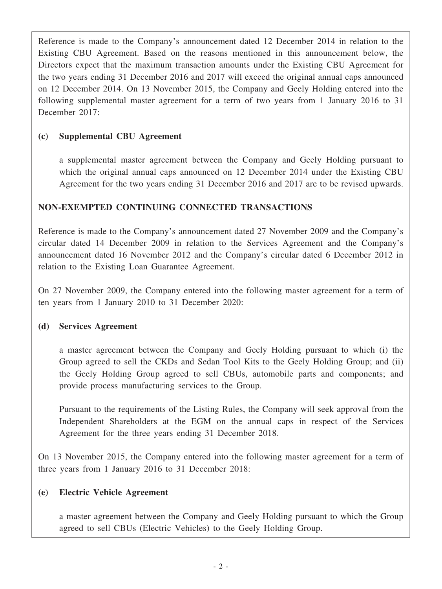Reference is made to the Company's announcement dated 12 December 2014 in relation to the Existing CBU Agreement. Based on the reasons mentioned in this announcement below, the Directors expect that the maximum transaction amounts under the Existing CBU Agreement for the two years ending 31 December 2016 and 2017 will exceed the original annual caps announced on 12 December 2014. On 13 November 2015, the Company and Geely Holding entered into the following supplemental master agreement for a term of two years from 1 January 2016 to 31 December 2017:

# **(c) Supplemental CBU Agreement**

a supplemental master agreement between the Company and Geely Holding pursuant to which the original annual caps announced on 12 December 2014 under the Existing CBU Agreement for the two years ending 31 December 2016 and 2017 are to be revised upwards.

# **NON-EXEMPTED CONTINUING CONNECTED TRANSACTIONS**

Reference is made to the Company's announcement dated 27 November 2009 and the Company's circular dated 14 December 2009 in relation to the Services Agreement and the Company's announcement dated 16 November 2012 and the Company's circular dated 6 December 2012 in relation to the Existing Loan Guarantee Agreement.

On 27 November 2009, the Company entered into the following master agreement for a term of ten years from 1 January 2010 to 31 December 2020:

## **(d) Services Agreement**

a master agreement between the Company and Geely Holding pursuant to which (i) the Group agreed to sell the CKDs and Sedan Tool Kits to the Geely Holding Group; and (ii) the Geely Holding Group agreed to sell CBUs, automobile parts and components; and provide process manufacturing services to the Group.

Pursuant to the requirements of the Listing Rules, the Company will seek approval from the Independent Shareholders at the EGM on the annual caps in respect of the Services Agreement for the three years ending 31 December 2018.

On 13 November 2015, the Company entered into the following master agreement for a term of three years from 1 January 2016 to 31 December 2018:

## **(e) Electric Vehicle Agreement**

a master agreement between the Company and Geely Holding pursuant to which the Group agreed to sell CBUs (Electric Vehicles) to the Geely Holding Group.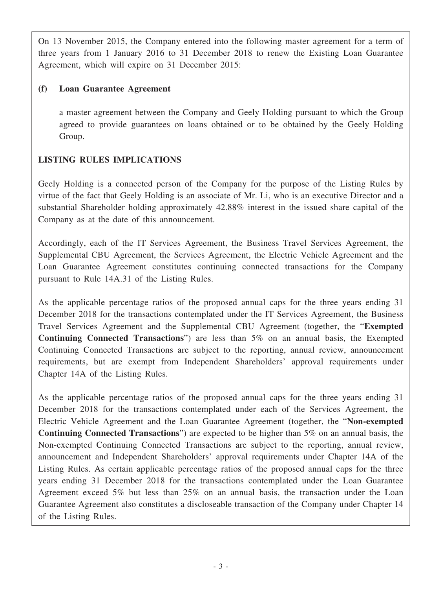On 13 November 2015, the Company entered into the following master agreement for a term of three years from 1 January 2016 to 31 December 2018 to renew the Existing Loan Guarantee Agreement, which will expire on 31 December 2015:

# **(f) Loan Guarantee Agreement**

a master agreement between the Company and Geely Holding pursuant to which the Group agreed to provide guarantees on loans obtained or to be obtained by the Geely Holding Group.

# **LISTING RULES IMPLICATIONS**

Geely Holding is a connected person of the Company for the purpose of the Listing Rules by virtue of the fact that Geely Holding is an associate of Mr. Li, who is an executive Director and a substantial Shareholder holding approximately 42.88% interest in the issued share capital of the Company as at the date of this announcement.

Accordingly, each of the IT Services Agreement, the Business Travel Services Agreement, the Supplemental CBU Agreement, the Services Agreement, the Electric Vehicle Agreement and the Loan Guarantee Agreement constitutes continuing connected transactions for the Company pursuant to Rule 14A.31 of the Listing Rules.

As the applicable percentage ratios of the proposed annual caps for the three years ending 31 December 2018 for the transactions contemplated under the IT Services Agreement, the Business Travel Services Agreement and the Supplemental CBU Agreement (together, the "**Exempted Continuing Connected Transactions**") are less than 5% on an annual basis, the Exempted Continuing Connected Transactions are subject to the reporting, annual review, announcement requirements, but are exempt from Independent Shareholders' approval requirements under Chapter 14A of the Listing Rules.

As the applicable percentage ratios of the proposed annual caps for the three years ending 31 December 2018 for the transactions contemplated under each of the Services Agreement, the Electric Vehicle Agreement and the Loan Guarantee Agreement (together, the "**Non-exempted Continuing Connected Transactions**") are expected to be higher than 5% on an annual basis, the Non-exempted Continuing Connected Transactions are subject to the reporting, annual review, announcement and Independent Shareholders' approval requirements under Chapter 14A of the Listing Rules. As certain applicable percentage ratios of the proposed annual caps for the three years ending 31 December 2018 for the transactions contemplated under the Loan Guarantee Agreement exceed 5% but less than 25% on an annual basis, the transaction under the Loan Guarantee Agreement also constitutes a discloseable transaction of the Company under Chapter 14 of the Listing Rules.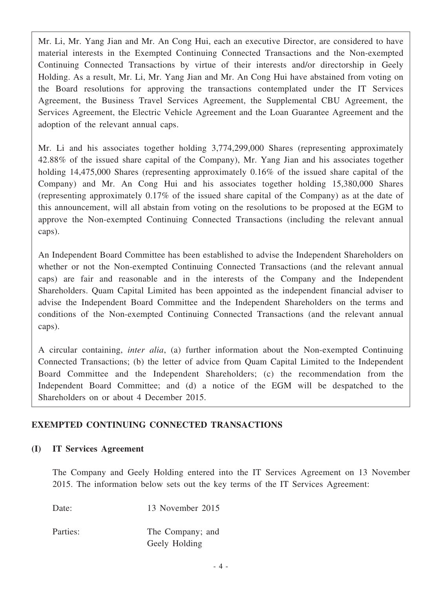Mr. Li, Mr. Yang Jian and Mr. An Cong Hui, each an executive Director, are considered to have material interests in the Exempted Continuing Connected Transactions and the Non-exempted Continuing Connected Transactions by virtue of their interests and/or directorship in Geely Holding. As a result, Mr. Li, Mr. Yang Jian and Mr. An Cong Hui have abstained from voting on the Board resolutions for approving the transactions contemplated under the IT Services Agreement, the Business Travel Services Agreement, the Supplemental CBU Agreement, the Services Agreement, the Electric Vehicle Agreement and the Loan Guarantee Agreement and the adoption of the relevant annual caps.

Mr. Li and his associates together holding 3,774,299,000 Shares (representing approximately 42.88% of the issued share capital of the Company), Mr. Yang Jian and his associates together holding 14,475,000 Shares (representing approximately 0.16% of the issued share capital of the Company) and Mr. An Cong Hui and his associates together holding 15,380,000 Shares (representing approximately 0.17% of the issued share capital of the Company) as at the date of this announcement, will all abstain from voting on the resolutions to be proposed at the EGM to approve the Non-exempted Continuing Connected Transactions (including the relevant annual caps).

An Independent Board Committee has been established to advise the Independent Shareholders on whether or not the Non-exempted Continuing Connected Transactions (and the relevant annual caps) are fair and reasonable and in the interests of the Company and the Independent Shareholders. Quam Capital Limited has been appointed as the independent financial adviser to advise the Independent Board Committee and the Independent Shareholders on the terms and conditions of the Non-exempted Continuing Connected Transactions (and the relevant annual caps).

A circular containing, *inter alia*, (a) further information about the Non-exempted Continuing Connected Transactions; (b) the letter of advice from Quam Capital Limited to the Independent Board Committee and the Independent Shareholders; (c) the recommendation from the Independent Board Committee; and (d) a notice of the EGM will be despatched to the Shareholders on or about 4 December 2015.

# **EXEMPTED CONTINUING CONNECTED TRANSACTIONS**

## **(I) IT Services Agreement**

The Company and Geely Holding entered into the IT Services Agreement on 13 November 2015. The information below sets out the key terms of the IT Services Agreement:

Date: 13 November 2015

Parties: The Company; and Geely Holding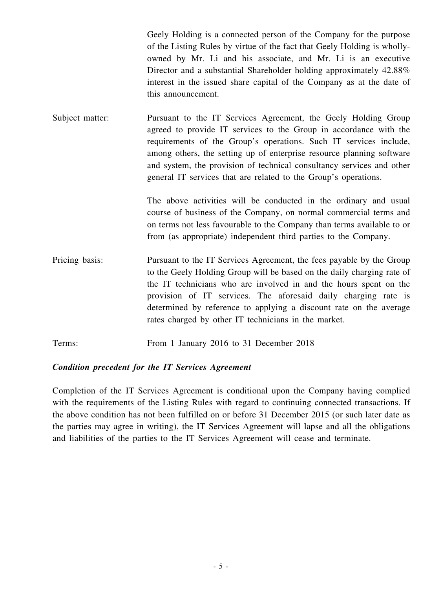Geely Holding is a connected person of the Company for the purpose of the Listing Rules by virtue of the fact that Geely Holding is whollyowned by Mr. Li and his associate, and Mr. Li is an executive Director and a substantial Shareholder holding approximately 42.88% interest in the issued share capital of the Company as at the date of this announcement.

Subject matter: Pursuant to the IT Services Agreement, the Geely Holding Group agreed to provide IT services to the Group in accordance with the requirements of the Group's operations. Such IT services include, among others, the setting up of enterprise resource planning software and system, the provision of technical consultancy services and other general IT services that are related to the Group's operations.

> The above activities will be conducted in the ordinary and usual course of business of the Company, on normal commercial terms and on terms not less favourable to the Company than terms available to or from (as appropriate) independent third parties to the Company.

- Pricing basis: Pursuant to the IT Services Agreement, the fees payable by the Group to the Geely Holding Group will be based on the daily charging rate of the IT technicians who are involved in and the hours spent on the provision of IT services. The aforesaid daily charging rate is determined by reference to applying a discount rate on the average rates charged by other IT technicians in the market.
- Terms: From 1 January 2016 to 31 December 2018

## *Condition precedent for the IT Services Agreement*

Completion of the IT Services Agreement is conditional upon the Company having complied with the requirements of the Listing Rules with regard to continuing connected transactions. If the above condition has not been fulfilled on or before 31 December 2015 (or such later date as the parties may agree in writing), the IT Services Agreement will lapse and all the obligations and liabilities of the parties to the IT Services Agreement will cease and terminate.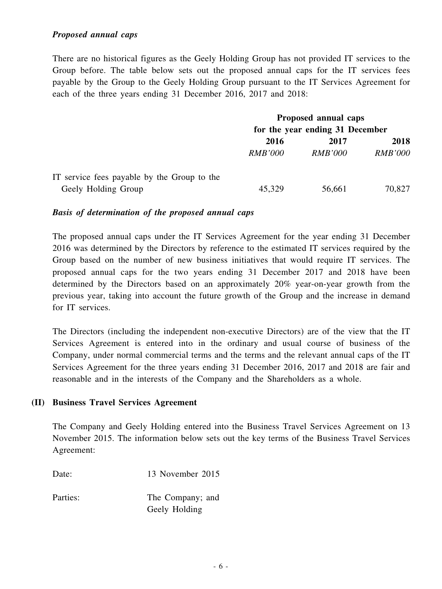#### *Proposed annual caps*

There are no historical figures as the Geely Holding Group has not provided IT services to the Group before. The table below sets out the proposed annual caps for the IT services fees payable by the Group to the Geely Holding Group pursuant to the IT Services Agreement for each of the three years ending 31 December 2016, 2017 and 2018:

|                                             | Proposed annual caps            |                |                |  |
|---------------------------------------------|---------------------------------|----------------|----------------|--|
|                                             | for the year ending 31 December |                |                |  |
|                                             | 2016                            | 2017           | 2018           |  |
|                                             | <i>RMB'000</i>                  | <i>RMB'000</i> | <b>RMB'000</b> |  |
| IT service fees payable by the Group to the |                                 |                |                |  |
| Geely Holding Group                         | 45,329                          | 56,661         | 70,827         |  |

#### *Basis of determination of the proposed annual caps*

The proposed annual caps under the IT Services Agreement for the year ending 31 December 2016 was determined by the Directors by reference to the estimated IT services required by the Group based on the number of new business initiatives that would require IT services. The proposed annual caps for the two years ending 31 December 2017 and 2018 have been determined by the Directors based on an approximately 20% year-on-year growth from the previous year, taking into account the future growth of the Group and the increase in demand for IT services.

The Directors (including the independent non-executive Directors) are of the view that the IT Services Agreement is entered into in the ordinary and usual course of business of the Company, under normal commercial terms and the terms and the relevant annual caps of the IT Services Agreement for the three years ending 31 December 2016, 2017 and 2018 are fair and reasonable and in the interests of the Company and the Shareholders as a whole.

#### **(II) Business Travel Services Agreement**

The Company and Geely Holding entered into the Business Travel Services Agreement on 13 November 2015. The information below sets out the key terms of the Business Travel Services Agreement:

Date: 13 November 2015

Parties: The Company; and Geely Holding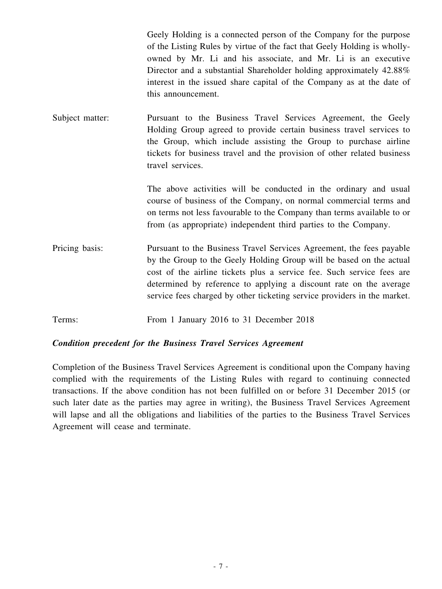Geely Holding is a connected person of the Company for the purpose of the Listing Rules by virtue of the fact that Geely Holding is whollyowned by Mr. Li and his associate, and Mr. Li is an executive Director and a substantial Shareholder holding approximately 42.88% interest in the issued share capital of the Company as at the date of this announcement.

Subject matter: Pursuant to the Business Travel Services Agreement, the Geely Holding Group agreed to provide certain business travel services to the Group, which include assisting the Group to purchase airline tickets for business travel and the provision of other related business travel services.

> The above activities will be conducted in the ordinary and usual course of business of the Company, on normal commercial terms and on terms not less favourable to the Company than terms available to or from (as appropriate) independent third parties to the Company.

- Pricing basis: Pursuant to the Business Travel Services Agreement, the fees payable by the Group to the Geely Holding Group will be based on the actual cost of the airline tickets plus a service fee. Such service fees are determined by reference to applying a discount rate on the average service fees charged by other ticketing service providers in the market.
- Terms: From 1 January 2016 to 31 December 2018

## *Condition precedent for the Business Travel Services Agreement*

Completion of the Business Travel Services Agreement is conditional upon the Company having complied with the requirements of the Listing Rules with regard to continuing connected transactions. If the above condition has not been fulfilled on or before 31 December 2015 (or such later date as the parties may agree in writing), the Business Travel Services Agreement will lapse and all the obligations and liabilities of the parties to the Business Travel Services Agreement will cease and terminate.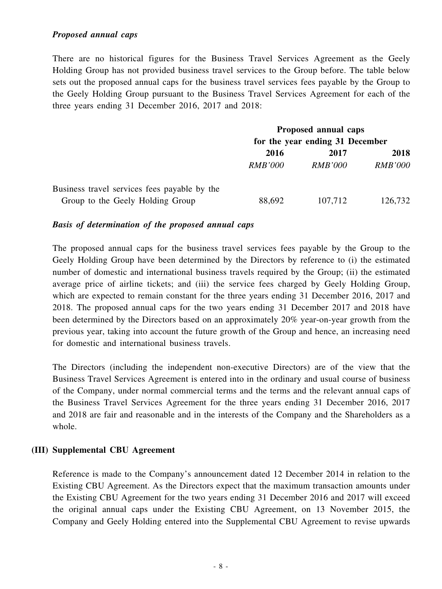#### *Proposed annual caps*

There are no historical figures for the Business Travel Services Agreement as the Geely Holding Group has not provided business travel services to the Group before. The table below sets out the proposed annual caps for the business travel services fees payable by the Group to the Geely Holding Group pursuant to the Business Travel Services Agreement for each of the three years ending 31 December 2016, 2017 and 2018:

|                                              |                                 | Proposed annual caps |                |
|----------------------------------------------|---------------------------------|----------------------|----------------|
|                                              | for the year ending 31 December |                      |                |
|                                              | 2016                            | 2017                 | 2018           |
|                                              | <i>RMB'000</i>                  | <i>RMB'000</i>       | <b>RMB'000</b> |
| Business travel services fees payable by the |                                 |                      |                |
| Group to the Geely Holding Group             | 88,692                          | 107,712              | 126,732        |

#### *Basis of determination of the proposed annual caps*

The proposed annual caps for the business travel services fees payable by the Group to the Geely Holding Group have been determined by the Directors by reference to (i) the estimated number of domestic and international business travels required by the Group; (ii) the estimated average price of airline tickets; and (iii) the service fees charged by Geely Holding Group, which are expected to remain constant for the three years ending 31 December 2016, 2017 and 2018. The proposed annual caps for the two years ending 31 December 2017 and 2018 have been determined by the Directors based on an approximately 20% year-on-year growth from the previous year, taking into account the future growth of the Group and hence, an increasing need for domestic and international business travels.

The Directors (including the independent non-executive Directors) are of the view that the Business Travel Services Agreement is entered into in the ordinary and usual course of business of the Company, under normal commercial terms and the terms and the relevant annual caps of the Business Travel Services Agreement for the three years ending 31 December 2016, 2017 and 2018 are fair and reasonable and in the interests of the Company and the Shareholders as a whole.

#### **(III) Supplemental CBU Agreement**

Reference is made to the Company's announcement dated 12 December 2014 in relation to the Existing CBU Agreement. As the Directors expect that the maximum transaction amounts under the Existing CBU Agreement for the two years ending 31 December 2016 and 2017 will exceed the original annual caps under the Existing CBU Agreement, on 13 November 2015, the Company and Geely Holding entered into the Supplemental CBU Agreement to revise upwards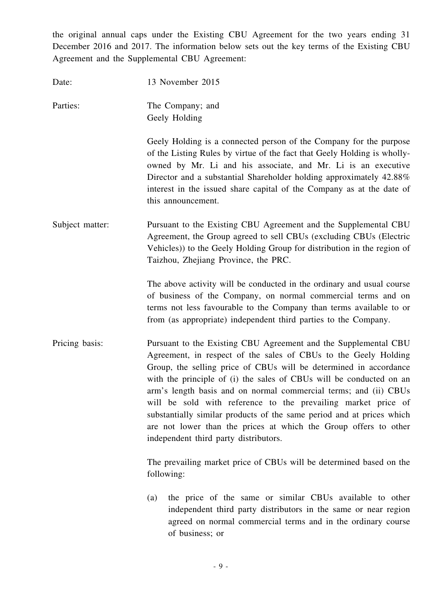the original annual caps under the Existing CBU Agreement for the two years ending 31 December 2016 and 2017. The information below sets out the key terms of the Existing CBU Agreement and the Supplemental CBU Agreement:

| Date:           | 13 November 2015                                                                                                                                                                                                                                                                                                                                                                                                                                                                                                                                                                                          |
|-----------------|-----------------------------------------------------------------------------------------------------------------------------------------------------------------------------------------------------------------------------------------------------------------------------------------------------------------------------------------------------------------------------------------------------------------------------------------------------------------------------------------------------------------------------------------------------------------------------------------------------------|
| Parties:        | The Company; and<br>Geely Holding                                                                                                                                                                                                                                                                                                                                                                                                                                                                                                                                                                         |
|                 | Geely Holding is a connected person of the Company for the purpose<br>of the Listing Rules by virtue of the fact that Geely Holding is wholly-<br>owned by Mr. Li and his associate, and Mr. Li is an executive<br>Director and a substantial Shareholder holding approximately 42.88%<br>interest in the issued share capital of the Company as at the date of<br>this announcement.                                                                                                                                                                                                                     |
| Subject matter: | Pursuant to the Existing CBU Agreement and the Supplemental CBU<br>Agreement, the Group agreed to sell CBUs (excluding CBUs (Electric<br>Vehicles)) to the Geely Holding Group for distribution in the region of<br>Taizhou, Zhejiang Province, the PRC.                                                                                                                                                                                                                                                                                                                                                  |
|                 | The above activity will be conducted in the ordinary and usual course<br>of business of the Company, on normal commercial terms and on<br>terms not less favourable to the Company than terms available to or<br>from (as appropriate) independent third parties to the Company.                                                                                                                                                                                                                                                                                                                          |
| Pricing basis:  | Pursuant to the Existing CBU Agreement and the Supplemental CBU<br>Agreement, in respect of the sales of CBUs to the Geely Holding<br>Group, the selling price of CBUs will be determined in accordance<br>with the principle of (i) the sales of CBUs will be conducted on an<br>arm's length basis and on normal commercial terms; and (ii) CBUs<br>will be sold with reference to the prevailing market price of<br>substantially similar products of the same period and at prices which<br>are not lower than the prices at which the Group offers to other<br>independent third party distributors. |
|                 | The prevailing market price of CBUs will be determined based on the<br>following:                                                                                                                                                                                                                                                                                                                                                                                                                                                                                                                         |
|                 | the price of the same or similar CBUs available to other<br>(a)<br>independent third party distributors in the same or near region<br>agreed on normal commercial terms and in the ordinary course<br>of business; or                                                                                                                                                                                                                                                                                                                                                                                     |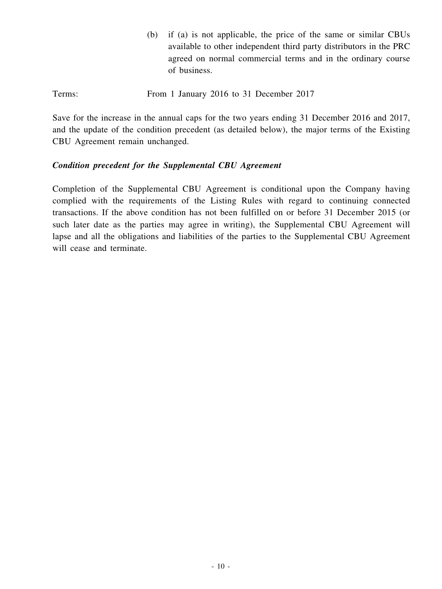- (b) if (a) is not applicable, the price of the same or similar CBUs available to other independent third party distributors in the PRC agreed on normal commercial terms and in the ordinary course of business.
- Terms: From 1 January 2016 to 31 December 2017

Save for the increase in the annual caps for the two years ending 31 December 2016 and 2017, and the update of the condition precedent (as detailed below), the major terms of the Existing CBU Agreement remain unchanged.

#### *Condition precedent for the Supplemental CBU Agreement*

Completion of the Supplemental CBU Agreement is conditional upon the Company having complied with the requirements of the Listing Rules with regard to continuing connected transactions. If the above condition has not been fulfilled on or before 31 December 2015 (or such later date as the parties may agree in writing), the Supplemental CBU Agreement will lapse and all the obligations and liabilities of the parties to the Supplemental CBU Agreement will cease and terminate.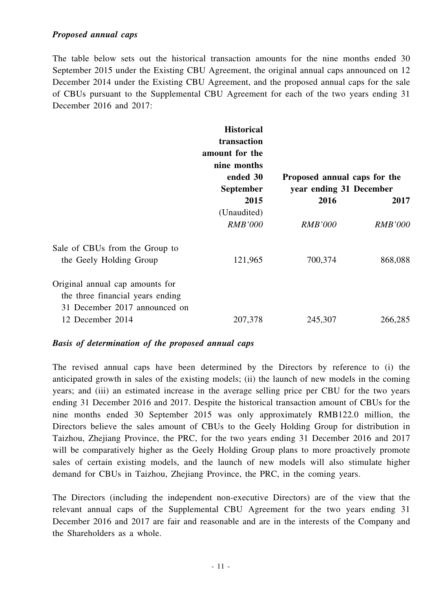The table below sets out the historical transaction amounts for the nine months ended 30 September 2015 under the Existing CBU Agreement, the original annual caps announced on 12 December 2014 under the Existing CBU Agreement, and the proposed annual caps for the sale of CBUs pursuant to the Supplemental CBU Agreement for each of the two years ending 31 December 2016 and 2017:

|                                                                                                      | <b>Historical</b><br>transaction<br>amount for the<br>nine months<br>ended 30<br><b>September</b> | Proposed annual caps for the<br>year ending 31 December |                |
|------------------------------------------------------------------------------------------------------|---------------------------------------------------------------------------------------------------|---------------------------------------------------------|----------------|
|                                                                                                      | 2015<br>(Unaudited)                                                                               | 2016                                                    | 2017           |
|                                                                                                      | <i>RMB'000</i>                                                                                    | <b>RMB'000</b>                                          | <b>RMB'000</b> |
| Sale of CBUs from the Group to<br>the Geely Holding Group                                            | 121,965                                                                                           | 700,374                                                 | 868,088        |
| Original annual cap amounts for<br>the three financial years ending<br>31 December 2017 announced on |                                                                                                   |                                                         |                |
| 12 December 2014                                                                                     | 207,378                                                                                           | 245,307                                                 | 266,285        |

#### *Basis of determination of the proposed annual caps*

The revised annual caps have been determined by the Directors by reference to (i) the anticipated growth in sales of the existing models; (ii) the launch of new models in the coming years; and (iii) an estimated increase in the average selling price per CBU for the two years ending 31 December 2016 and 2017. Despite the historical transaction amount of CBUs for the nine months ended 30 September 2015 was only approximately RMB122.0 million, the Directors believe the sales amount of CBUs to the Geely Holding Group for distribution in Taizhou, Zhejiang Province, the PRC, for the two years ending 31 December 2016 and 2017 will be comparatively higher as the Geely Holding Group plans to more proactively promote sales of certain existing models, and the launch of new models will also stimulate higher demand for CBUs in Taizhou, Zhejiang Province, the PRC, in the coming years.

The Directors (including the independent non-executive Directors) are of the view that the relevant annual caps of the Supplemental CBU Agreement for the two years ending 31 December 2016 and 2017 are fair and reasonable and are in the interests of the Company and the Shareholders as a whole.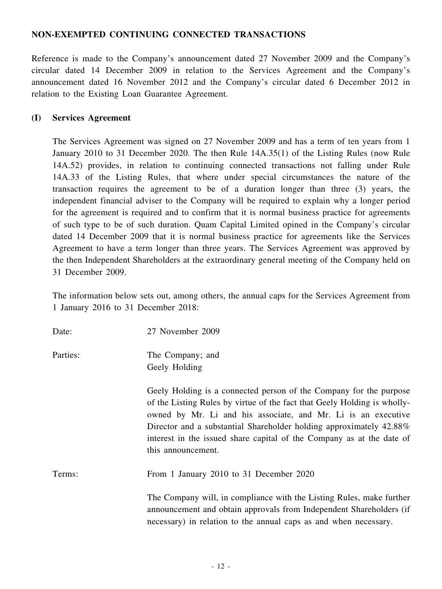# **NON-EXEMPTED CONTINUING CONNECTED TRANSACTIONS**

Reference is made to the Company's announcement dated 27 November 2009 and the Company's circular dated 14 December 2009 in relation to the Services Agreement and the Company's announcement dated 16 November 2012 and the Company's circular dated 6 December 2012 in relation to the Existing Loan Guarantee Agreement.

#### **(I) Services Agreement**

The Services Agreement was signed on 27 November 2009 and has a term of ten years from 1 January 2010 to 31 December 2020. The then Rule 14A.35(1) of the Listing Rules (now Rule 14A.52) provides, in relation to continuing connected transactions not falling under Rule 14A.33 of the Listing Rules, that where under special circumstances the nature of the transaction requires the agreement to be of a duration longer than three (3) years, the independent financial adviser to the Company will be required to explain why a longer period for the agreement is required and to confirm that it is normal business practice for agreements of such type to be of such duration. Quam Capital Limited opined in the Company's circular dated 14 December 2009 that it is normal business practice for agreements like the Services Agreement to have a term longer than three years. The Services Agreement was approved by the then Independent Shareholders at the extraordinary general meeting of the Company held on 31 December 2009.

The information below sets out, among others, the annual caps for the Services Agreement from 1 January 2016 to 31 December 2018:

| Date:    | 27 November 2009                                                                                                                                                                                                                                                                                                                                                                      |
|----------|---------------------------------------------------------------------------------------------------------------------------------------------------------------------------------------------------------------------------------------------------------------------------------------------------------------------------------------------------------------------------------------|
| Parties: | The Company; and<br>Geely Holding                                                                                                                                                                                                                                                                                                                                                     |
|          | Geely Holding is a connected person of the Company for the purpose<br>of the Listing Rules by virtue of the fact that Geely Holding is wholly-<br>owned by Mr. Li and his associate, and Mr. Li is an executive<br>Director and a substantial Shareholder holding approximately 42.88%<br>interest in the issued share capital of the Company as at the date of<br>this announcement. |
| Terms:   | From 1 January 2010 to 31 December 2020                                                                                                                                                                                                                                                                                                                                               |
|          | The Company will, in compliance with the Listing Rules, make further<br>announcement and obtain approvals from Independent Shareholders (if<br>necessary) in relation to the annual caps as and when necessary.                                                                                                                                                                       |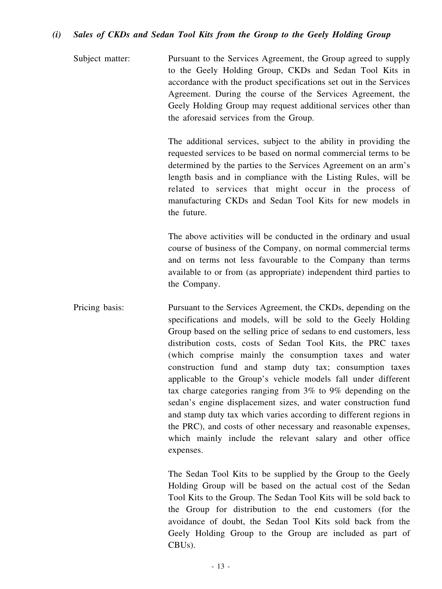#### *(i) Sales of CKDs and Sedan Tool Kits from the Group to the Geely Holding Group*

Subject matter: Pursuant to the Services Agreement, the Group agreed to supply to the Geely Holding Group, CKDs and Sedan Tool Kits in accordance with the product specifications set out in the Services Agreement. During the course of the Services Agreement, the Geely Holding Group may request additional services other than the aforesaid services from the Group.

> The additional services, subject to the ability in providing the requested services to be based on normal commercial terms to be determined by the parties to the Services Agreement on an arm's length basis and in compliance with the Listing Rules, will be related to services that might occur in the process of manufacturing CKDs and Sedan Tool Kits for new models in the future.

> The above activities will be conducted in the ordinary and usual course of business of the Company, on normal commercial terms and on terms not less favourable to the Company than terms available to or from (as appropriate) independent third parties to the Company.

Pricing basis: Pursuant to the Services Agreement, the CKDs, depending on the specifications and models, will be sold to the Geely Holding Group based on the selling price of sedans to end customers, less distribution costs, costs of Sedan Tool Kits, the PRC taxes (which comprise mainly the consumption taxes and water construction fund and stamp duty tax; consumption taxes applicable to the Group's vehicle models fall under different tax charge categories ranging from 3% to 9% depending on the sedan's engine displacement sizes, and water construction fund and stamp duty tax which varies according to different regions in the PRC), and costs of other necessary and reasonable expenses, which mainly include the relevant salary and other office expenses.

> The Sedan Tool Kits to be supplied by the Group to the Geely Holding Group will be based on the actual cost of the Sedan Tool Kits to the Group. The Sedan Tool Kits will be sold back to the Group for distribution to the end customers (for the avoidance of doubt, the Sedan Tool Kits sold back from the Geely Holding Group to the Group are included as part of CBUs).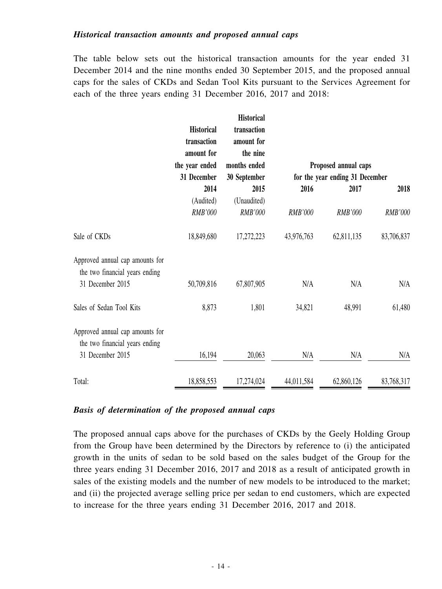#### *Historical transaction amounts and proposed annual caps*

The table below sets out the historical transaction amounts for the year ended 31 December 2014 and the nine months ended 30 September 2015, and the proposed annual caps for the sales of CKDs and Sedan Tool Kits pursuant to the Services Agreement for each of the three years ending 31 December 2016, 2017 and 2018:

|                                                                   | <b>Historical</b><br>transaction<br>amount for<br>the year ended | <b>Historical</b><br>transaction<br>amount for<br>the nine<br>months ended |            | Proposed annual caps            |            |
|-------------------------------------------------------------------|------------------------------------------------------------------|----------------------------------------------------------------------------|------------|---------------------------------|------------|
|                                                                   | 31 December                                                      | 30 September                                                               |            | for the year ending 31 December |            |
|                                                                   | 2014                                                             | 2015                                                                       | 2016       | 2017                            | 2018       |
|                                                                   | (Audited)                                                        | (Unaudited)                                                                |            |                                 |            |
|                                                                   | RMB'000                                                          | RMB'000                                                                    | RMB'000    | RMB'000                         | RMB'000    |
| Sale of CKDs                                                      | 18,849,680                                                       | 17,272,223                                                                 | 43,976,763 | 62,811,135                      | 83,706,837 |
| Approved annual cap amounts for<br>the two financial years ending |                                                                  |                                                                            |            |                                 |            |
| 31 December 2015                                                  | 50,709,816                                                       | 67,807,905                                                                 | N/A        | N/A                             | N/A        |
| Sales of Sedan Tool Kits                                          | 8,873                                                            | 1,801                                                                      | 34,821     | 48,991                          | 61,480     |
| Approved annual cap amounts for<br>the two financial years ending |                                                                  |                                                                            |            |                                 |            |
| 31 December 2015                                                  | 16,194                                                           | 20,063                                                                     | N/A        | N/A                             | N/A        |
| Total:                                                            | 18,858,553                                                       | 17,274,024                                                                 | 44,011,584 | 62,860,126                      | 83,768,317 |

#### *Basis of determination of the proposed annual caps*

The proposed annual caps above for the purchases of CKDs by the Geely Holding Group from the Group have been determined by the Directors by reference to (i) the anticipated growth in the units of sedan to be sold based on the sales budget of the Group for the three years ending 31 December 2016, 2017 and 2018 as a result of anticipated growth in sales of the existing models and the number of new models to be introduced to the market; and (ii) the projected average selling price per sedan to end customers, which are expected to increase for the three years ending 31 December 2016, 2017 and 2018.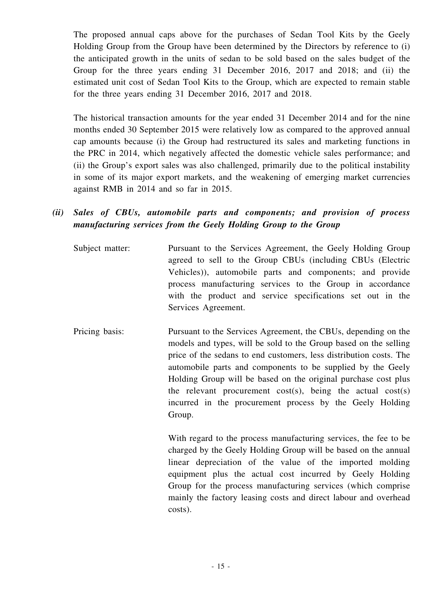The proposed annual caps above for the purchases of Sedan Tool Kits by the Geely Holding Group from the Group have been determined by the Directors by reference to (i) the anticipated growth in the units of sedan to be sold based on the sales budget of the Group for the three years ending 31 December 2016, 2017 and 2018; and (ii) the estimated unit cost of Sedan Tool Kits to the Group, which are expected to remain stable for the three years ending 31 December 2016, 2017 and 2018.

The historical transaction amounts for the year ended 31 December 2014 and for the nine months ended 30 September 2015 were relatively low as compared to the approved annual cap amounts because (i) the Group had restructured its sales and marketing functions in the PRC in 2014, which negatively affected the domestic vehicle sales performance; and (ii) the Group's export sales was also challenged, primarily due to the political instability in some of its major export markets, and the weakening of emerging market currencies against RMB in 2014 and so far in 2015.

- *(ii) Sales of CBUs, automobile parts and components; and provision of process manufacturing services from the Geely Holding Group to the Group*
	- Subject matter: Pursuant to the Services Agreement, the Geely Holding Group agreed to sell to the Group CBUs (including CBUs (Electric Vehicles)), automobile parts and components; and provide process manufacturing services to the Group in accordance with the product and service specifications set out in the Services Agreement.
	- Pricing basis: Pursuant to the Services Agreement, the CBUs, depending on the models and types, will be sold to the Group based on the selling price of the sedans to end customers, less distribution costs. The automobile parts and components to be supplied by the Geely Holding Group will be based on the original purchase cost plus the relevant procurement cost(s), being the actual cost(s) incurred in the procurement process by the Geely Holding Group.

With regard to the process manufacturing services, the fee to be charged by the Geely Holding Group will be based on the annual linear depreciation of the value of the imported molding equipment plus the actual cost incurred by Geely Holding Group for the process manufacturing services (which comprise mainly the factory leasing costs and direct labour and overhead costs).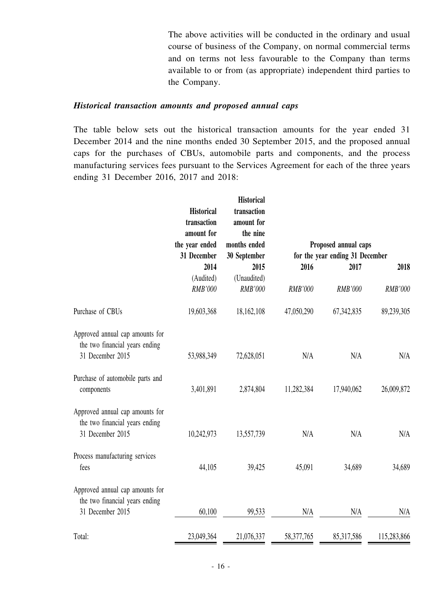The above activities will be conducted in the ordinary and usual course of business of the Company, on normal commercial terms and on terms not less favourable to the Company than terms available to or from (as appropriate) independent third parties to the Company.

#### *Historical transaction amounts and proposed annual caps*

The table below sets out the historical transaction amounts for the year ended 31 December 2014 and the nine months ended 30 September 2015, and the proposed annual caps for the purchases of CBUs, automobile parts and components, and the process manufacturing services fees pursuant to the Services Agreement for each of the three years ending 31 December 2016, 2017 and 2018:

|                                                                                       | <b>Historical</b><br>transaction<br>amount for<br>the year ended | <b>Historical</b><br>transaction<br>amount for<br>the nine<br>months ended |                | Proposed annual caps            |                |
|---------------------------------------------------------------------------------------|------------------------------------------------------------------|----------------------------------------------------------------------------|----------------|---------------------------------|----------------|
|                                                                                       | 31 December                                                      | 30 September                                                               |                | for the year ending 31 December |                |
|                                                                                       | 2014                                                             | 2015                                                                       | 2016           | 2017                            | 2018           |
|                                                                                       | (Audited)                                                        | (Unaudited)                                                                |                |                                 |                |
|                                                                                       | <b>RMB'000</b>                                                   | RMB'000                                                                    | <b>RMB'000</b> | <b>RMB'000</b>                  | <b>RMB'000</b> |
| Purchase of CBUs                                                                      | 19,603,368                                                       | 18,162,108                                                                 | 47,050,290     | 67, 342, 835                    | 89,239,305     |
| Approved annual cap amounts for<br>the two financial years ending<br>31 December 2015 | 53,988,349                                                       | 72,628,051                                                                 | N/A            | N/A                             | N/A            |
| Purchase of automobile parts and<br>components                                        | 3,401,891                                                        | 2,874,804                                                                  | 11,282,384     | 17,940,062                      | 26,009,872     |
| Approved annual cap amounts for<br>the two financial years ending<br>31 December 2015 | 10,242,973                                                       | 13,557,739                                                                 | N/A            | N/A                             | N/A            |
| Process manufacturing services<br>fees                                                | 44,105                                                           | 39,425                                                                     | 45,091         | 34,689                          | 34,689         |
| Approved annual cap amounts for<br>the two financial years ending<br>31 December 2015 | 60,100                                                           | 99,533                                                                     | N/A            | N/A                             | N/A            |
| Total:                                                                                | 23,049,364                                                       | 21,076,337                                                                 | 58,377,765     | 85,317,586                      | 115,283,866    |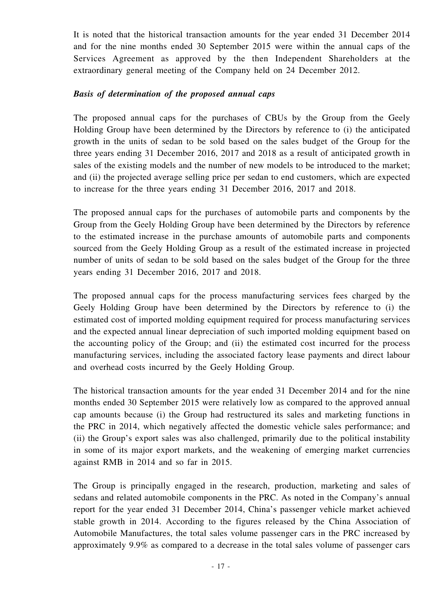It is noted that the historical transaction amounts for the year ended 31 December 2014 and for the nine months ended 30 September 2015 were within the annual caps of the Services Agreement as approved by the then Independent Shareholders at the extraordinary general meeting of the Company held on 24 December 2012.

#### *Basis of determination of the proposed annual caps*

The proposed annual caps for the purchases of CBUs by the Group from the Geely Holding Group have been determined by the Directors by reference to (i) the anticipated growth in the units of sedan to be sold based on the sales budget of the Group for the three years ending 31 December 2016, 2017 and 2018 as a result of anticipated growth in sales of the existing models and the number of new models to be introduced to the market; and (ii) the projected average selling price per sedan to end customers, which are expected to increase for the three years ending 31 December 2016, 2017 and 2018.

The proposed annual caps for the purchases of automobile parts and components by the Group from the Geely Holding Group have been determined by the Directors by reference to the estimated increase in the purchase amounts of automobile parts and components sourced from the Geely Holding Group as a result of the estimated increase in projected number of units of sedan to be sold based on the sales budget of the Group for the three years ending 31 December 2016, 2017 and 2018.

The proposed annual caps for the process manufacturing services fees charged by the Geely Holding Group have been determined by the Directors by reference to (i) the estimated cost of imported molding equipment required for process manufacturing services and the expected annual linear depreciation of such imported molding equipment based on the accounting policy of the Group; and (ii) the estimated cost incurred for the process manufacturing services, including the associated factory lease payments and direct labour and overhead costs incurred by the Geely Holding Group.

The historical transaction amounts for the year ended 31 December 2014 and for the nine months ended 30 September 2015 were relatively low as compared to the approved annual cap amounts because (i) the Group had restructured its sales and marketing functions in the PRC in 2014, which negatively affected the domestic vehicle sales performance; and (ii) the Group's export sales was also challenged, primarily due to the political instability in some of its major export markets, and the weakening of emerging market currencies against RMB in 2014 and so far in 2015.

The Group is principally engaged in the research, production, marketing and sales of sedans and related automobile components in the PRC. As noted in the Company's annual report for the year ended 31 December 2014, China's passenger vehicle market achieved stable growth in 2014. According to the figures released by the China Association of Automobile Manufactures, the total sales volume passenger cars in the PRC increased by approximately 9.9% as compared to a decrease in the total sales volume of passenger cars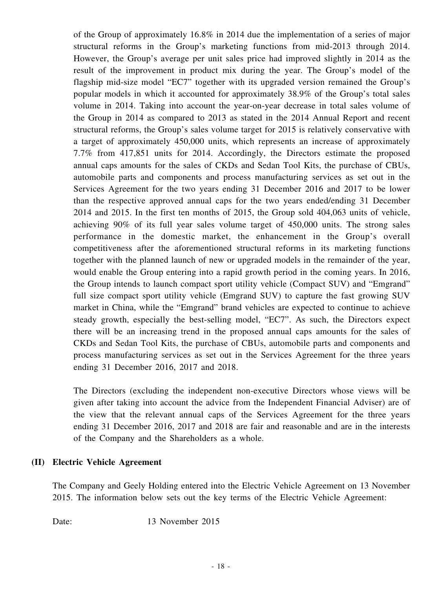of the Group of approximately 16.8% in 2014 due the implementation of a series of major structural reforms in the Group's marketing functions from mid-2013 through 2014. However, the Group's average per unit sales price had improved slightly in 2014 as the result of the improvement in product mix during the year. The Group's model of the flagship mid-size model "EC7" together with its upgraded version remained the Group's popular models in which it accounted for approximately 38.9% of the Group's total sales volume in 2014. Taking into account the year-on-year decrease in total sales volume of the Group in 2014 as compared to 2013 as stated in the 2014 Annual Report and recent structural reforms, the Group's sales volume target for 2015 is relatively conservative with a target of approximately 450,000 units, which represents an increase of approximately 7.7% from 417,851 units for 2014. Accordingly, the Directors estimate the proposed annual caps amounts for the sales of CKDs and Sedan Tool Kits, the purchase of CBUs, automobile parts and components and process manufacturing services as set out in the Services Agreement for the two years ending 31 December 2016 and 2017 to be lower than the respective approved annual caps for the two years ended/ending 31 December 2014 and 2015. In the first ten months of 2015, the Group sold 404,063 units of vehicle, achieving 90% of its full year sales volume target of 450,000 units. The strong sales performance in the domestic market, the enhancement in the Group's overall competitiveness after the aforementioned structural reforms in its marketing functions together with the planned launch of new or upgraded models in the remainder of the year, would enable the Group entering into a rapid growth period in the coming years. In 2016, the Group intends to launch compact sport utility vehicle (Compact SUV) and "Emgrand" full size compact sport utility vehicle (Emgrand SUV) to capture the fast growing SUV market in China, while the "Emgrand" brand vehicles are expected to continue to achieve steady growth, especially the best-selling model, "EC7". As such, the Directors expect there will be an increasing trend in the proposed annual caps amounts for the sales of CKDs and Sedan Tool Kits, the purchase of CBUs, automobile parts and components and process manufacturing services as set out in the Services Agreement for the three years ending 31 December 2016, 2017 and 2018.

The Directors (excluding the independent non-executive Directors whose views will be given after taking into account the advice from the Independent Financial Adviser) are of the view that the relevant annual caps of the Services Agreement for the three years ending 31 December 2016, 2017 and 2018 are fair and reasonable and are in the interests of the Company and the Shareholders as a whole.

## **(II) Electric Vehicle Agreement**

The Company and Geely Holding entered into the Electric Vehicle Agreement on 13 November 2015. The information below sets out the key terms of the Electric Vehicle Agreement:

Date: 13 November 2015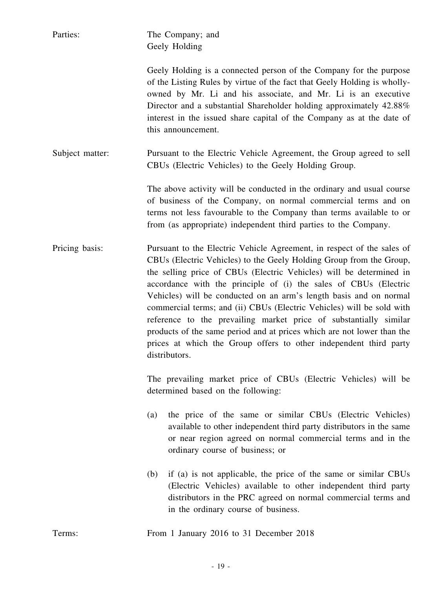| Parties:        | The Company; and<br>Geely Holding                                                                                                                                                                                                                                                                                                                                                                                                                                                                                                                                                                                                                                            |
|-----------------|------------------------------------------------------------------------------------------------------------------------------------------------------------------------------------------------------------------------------------------------------------------------------------------------------------------------------------------------------------------------------------------------------------------------------------------------------------------------------------------------------------------------------------------------------------------------------------------------------------------------------------------------------------------------------|
|                 | Geely Holding is a connected person of the Company for the purpose<br>of the Listing Rules by virtue of the fact that Geely Holding is wholly-<br>owned by Mr. Li and his associate, and Mr. Li is an executive<br>Director and a substantial Shareholder holding approximately 42.88%<br>interest in the issued share capital of the Company as at the date of<br>this announcement.                                                                                                                                                                                                                                                                                        |
| Subject matter: | Pursuant to the Electric Vehicle Agreement, the Group agreed to sell<br>CBUs (Electric Vehicles) to the Geely Holding Group.                                                                                                                                                                                                                                                                                                                                                                                                                                                                                                                                                 |
|                 | The above activity will be conducted in the ordinary and usual course<br>of business of the Company, on normal commercial terms and on<br>terms not less favourable to the Company than terms available to or<br>from (as appropriate) independent third parties to the Company.                                                                                                                                                                                                                                                                                                                                                                                             |
| Pricing basis:  | Pursuant to the Electric Vehicle Agreement, in respect of the sales of<br>CBUs (Electric Vehicles) to the Geely Holding Group from the Group,<br>the selling price of CBUs (Electric Vehicles) will be determined in<br>accordance with the principle of (i) the sales of CBUs (Electric<br>Vehicles) will be conducted on an arm's length basis and on normal<br>commercial terms; and (ii) CBUs (Electric Vehicles) will be sold with<br>reference to the prevailing market price of substantially similar<br>products of the same period and at prices which are not lower than the<br>prices at which the Group offers to other independent third party<br>distributors. |
|                 | The prevailing market price of CBUs (Electric Vehicles) will be<br>determined based on the following:                                                                                                                                                                                                                                                                                                                                                                                                                                                                                                                                                                        |
|                 | the price of the same or similar CBUs (Electric Vehicles)<br>(a)<br>available to other independent third party distributors in the same<br>or near region agreed on normal commercial terms and in the<br>ordinary course of business; or                                                                                                                                                                                                                                                                                                                                                                                                                                    |
|                 | if (a) is not applicable, the price of the same or similar CBUs<br>(b)<br>(Electric Vehicles) available to other independent third party<br>distributors in the PRC agreed on normal commercial terms and<br>in the ordinary course of business.                                                                                                                                                                                                                                                                                                                                                                                                                             |
| Terms:          | From 1 January 2016 to 31 December 2018                                                                                                                                                                                                                                                                                                                                                                                                                                                                                                                                                                                                                                      |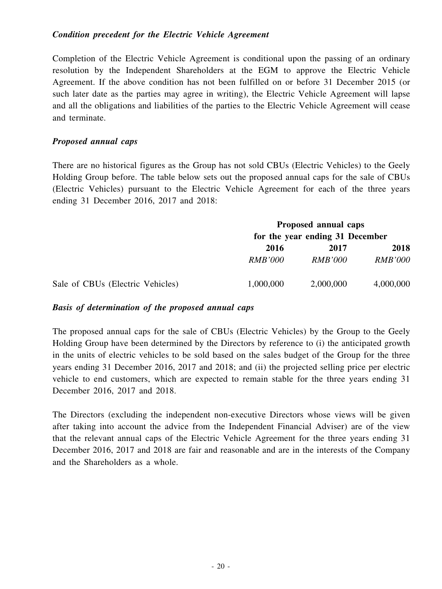#### *Condition precedent for the Electric Vehicle Agreement*

Completion of the Electric Vehicle Agreement is conditional upon the passing of an ordinary resolution by the Independent Shareholders at the EGM to approve the Electric Vehicle Agreement. If the above condition has not been fulfilled on or before 31 December 2015 (or such later date as the parties may agree in writing), the Electric Vehicle Agreement will lapse and all the obligations and liabilities of the parties to the Electric Vehicle Agreement will cease and terminate.

#### *Proposed annual caps*

There are no historical figures as the Group has not sold CBUs (Electric Vehicles) to the Geely Holding Group before. The table below sets out the proposed annual caps for the sale of CBUs (Electric Vehicles) pursuant to the Electric Vehicle Agreement for each of the three years ending 31 December 2016, 2017 and 2018:

|                                  |                                 | Proposed annual caps |                |  |
|----------------------------------|---------------------------------|----------------------|----------------|--|
|                                  | for the year ending 31 December |                      |                |  |
|                                  | 2016                            | 2017                 | 2018           |  |
|                                  | <i>RMB'000</i>                  | <i>RMB'000</i>       | <b>RMB'000</b> |  |
| Sale of CBUs (Electric Vehicles) | 1,000,000                       | 2,000,000            | 4,000,000      |  |

#### *Basis of determination of the proposed annual caps*

The proposed annual caps for the sale of CBUs (Electric Vehicles) by the Group to the Geely Holding Group have been determined by the Directors by reference to (i) the anticipated growth in the units of electric vehicles to be sold based on the sales budget of the Group for the three years ending 31 December 2016, 2017 and 2018; and (ii) the projected selling price per electric vehicle to end customers, which are expected to remain stable for the three years ending 31 December 2016, 2017 and 2018.

The Directors (excluding the independent non-executive Directors whose views will be given after taking into account the advice from the Independent Financial Adviser) are of the view that the relevant annual caps of the Electric Vehicle Agreement for the three years ending 31 December 2016, 2017 and 2018 are fair and reasonable and are in the interests of the Company and the Shareholders as a whole.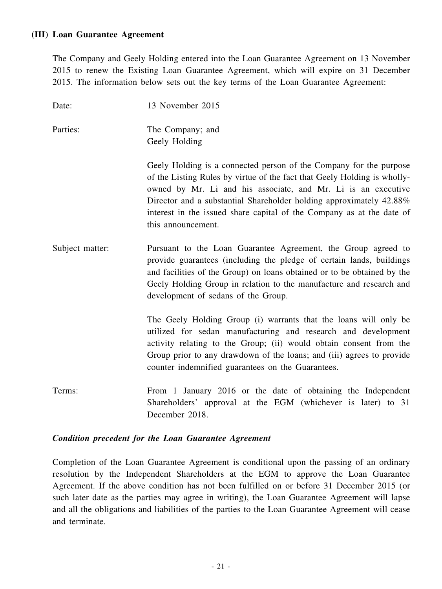#### **(III) Loan Guarantee Agreement**

The Company and Geely Holding entered into the Loan Guarantee Agreement on 13 November 2015 to renew the Existing Loan Guarantee Agreement, which will expire on 31 December 2015. The information below sets out the key terms of the Loan Guarantee Agreement:

| Date:           | 13 November 2015                                                                                                                                                                                                                                                                                                                                                                      |
|-----------------|---------------------------------------------------------------------------------------------------------------------------------------------------------------------------------------------------------------------------------------------------------------------------------------------------------------------------------------------------------------------------------------|
| Parties:        | The Company; and<br>Geely Holding                                                                                                                                                                                                                                                                                                                                                     |
|                 | Geely Holding is a connected person of the Company for the purpose<br>of the Listing Rules by virtue of the fact that Geely Holding is wholly-<br>owned by Mr. Li and his associate, and Mr. Li is an executive<br>Director and a substantial Shareholder holding approximately 42.88%<br>interest in the issued share capital of the Company as at the date of<br>this announcement. |
| Subject matter: | Pursuant to the Loan Guarantee Agreement, the Group agreed to<br>provide guarantees (including the pledge of certain lands, buildings<br>and facilities of the Group) on loans obtained or to be obtained by the<br>Geely Holding Group in relation to the manufacture and research and<br>development of sedans of the Group.                                                        |
|                 | The Geely Holding Group (i) warrants that the loans will only be<br>utilized for sedan manufacturing and research and development<br>activity relating to the Group; (ii) would obtain consent from the<br>Group prior to any drawdown of the loans; and (iii) agrees to provide<br>counter indemnified guarantees on the Guarantees.                                                 |
| Terms:          | From 1 January 2016 or the date of obtaining the Independent<br>Shareholders' approval at the EGM (whichever is later) to 31<br>December 2018.                                                                                                                                                                                                                                        |

# *Condition precedent for the Loan Guarantee Agreement*

Completion of the Loan Guarantee Agreement is conditional upon the passing of an ordinary resolution by the Independent Shareholders at the EGM to approve the Loan Guarantee Agreement. If the above condition has not been fulfilled on or before 31 December 2015 (or such later date as the parties may agree in writing), the Loan Guarantee Agreement will lapse and all the obligations and liabilities of the parties to the Loan Guarantee Agreement will cease and terminate.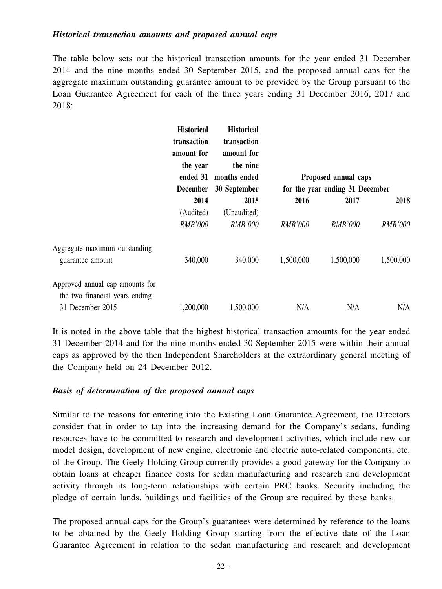#### *Historical transaction amounts and proposed annual caps*

The table below sets out the historical transaction amounts for the year ended 31 December 2014 and the nine months ended 30 September 2015, and the proposed annual caps for the aggregate maximum outstanding guarantee amount to be provided by the Group pursuant to the Loan Guarantee Agreement for each of the three years ending 31 December 2016, 2017 and 2018:

|                                                                   | <b>Historical</b>           | <b>Historical</b> |                      |                |                                 |  |
|-------------------------------------------------------------------|-----------------------------|-------------------|----------------------|----------------|---------------------------------|--|
|                                                                   | transaction                 | transaction       |                      |                |                                 |  |
|                                                                   | amount for                  | amount for        |                      |                |                                 |  |
|                                                                   | the year                    | the nine          |                      |                |                                 |  |
|                                                                   | ended 31<br><b>December</b> | months ended      | Proposed annual caps |                |                                 |  |
|                                                                   |                             | 30 September      |                      |                | for the year ending 31 December |  |
|                                                                   | 2014                        | 2015              | 2016                 | 2017           | 2018                            |  |
|                                                                   | (Audited)                   | (Unaudited)       |                      |                |                                 |  |
|                                                                   | <b>RMB'000</b>              | <b>RMB'000</b>    | <b>RMB'000</b>       | <b>RMB'000</b> | RMB'000                         |  |
| Aggregate maximum outstanding                                     |                             |                   |                      |                |                                 |  |
| guarantee amount                                                  | 340,000                     | 340,000           | 1,500,000            | 1,500,000      | 1,500,000                       |  |
| Approved annual cap amounts for<br>the two financial years ending |                             |                   |                      |                |                                 |  |
| 31 December 2015                                                  | 1,200,000                   | 1,500,000         | N/A                  | N/A            | N/A                             |  |

It is noted in the above table that the highest historical transaction amounts for the year ended 31 December 2014 and for the nine months ended 30 September 2015 were within their annual caps as approved by the then Independent Shareholders at the extraordinary general meeting of the Company held on 24 December 2012.

#### *Basis of determination of the proposed annual caps*

Similar to the reasons for entering into the Existing Loan Guarantee Agreement, the Directors consider that in order to tap into the increasing demand for the Company's sedans, funding resources have to be committed to research and development activities, which include new car model design, development of new engine, electronic and electric auto-related components, etc. of the Group. The Geely Holding Group currently provides a good gateway for the Company to obtain loans at cheaper finance costs for sedan manufacturing and research and development activity through its long-term relationships with certain PRC banks. Security including the pledge of certain lands, buildings and facilities of the Group are required by these banks.

The proposed annual caps for the Group's guarantees were determined by reference to the loans to be obtained by the Geely Holding Group starting from the effective date of the Loan Guarantee Agreement in relation to the sedan manufacturing and research and development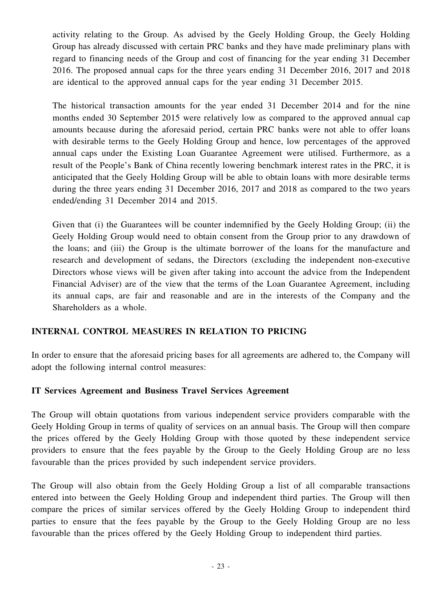activity relating to the Group. As advised by the Geely Holding Group, the Geely Holding Group has already discussed with certain PRC banks and they have made preliminary plans with regard to financing needs of the Group and cost of financing for the year ending 31 December 2016. The proposed annual caps for the three years ending 31 December 2016, 2017 and 2018 are identical to the approved annual caps for the year ending 31 December 2015.

The historical transaction amounts for the year ended 31 December 2014 and for the nine months ended 30 September 2015 were relatively low as compared to the approved annual cap amounts because during the aforesaid period, certain PRC banks were not able to offer loans with desirable terms to the Geely Holding Group and hence, low percentages of the approved annual caps under the Existing Loan Guarantee Agreement were utilised. Furthermore, as a result of the People's Bank of China recently lowering benchmark interest rates in the PRC, it is anticipated that the Geely Holding Group will be able to obtain loans with more desirable terms during the three years ending 31 December 2016, 2017 and 2018 as compared to the two years ended/ending 31 December 2014 and 2015.

Given that (i) the Guarantees will be counter indemnified by the Geely Holding Group; (ii) the Geely Holding Group would need to obtain consent from the Group prior to any drawdown of the loans; and (iii) the Group is the ultimate borrower of the loans for the manufacture and research and development of sedans, the Directors (excluding the independent non-executive Directors whose views will be given after taking into account the advice from the Independent Financial Adviser) are of the view that the terms of the Loan Guarantee Agreement, including its annual caps, are fair and reasonable and are in the interests of the Company and the Shareholders as a whole.

## **INTERNAL CONTROL MEASURES IN RELATION TO PRICING**

In order to ensure that the aforesaid pricing bases for all agreements are adhered to, the Company will adopt the following internal control measures:

## **IT Services Agreement and Business Travel Services Agreement**

The Group will obtain quotations from various independent service providers comparable with the Geely Holding Group in terms of quality of services on an annual basis. The Group will then compare the prices offered by the Geely Holding Group with those quoted by these independent service providers to ensure that the fees payable by the Group to the Geely Holding Group are no less favourable than the prices provided by such independent service providers.

The Group will also obtain from the Geely Holding Group a list of all comparable transactions entered into between the Geely Holding Group and independent third parties. The Group will then compare the prices of similar services offered by the Geely Holding Group to independent third parties to ensure that the fees payable by the Group to the Geely Holding Group are no less favourable than the prices offered by the Geely Holding Group to independent third parties.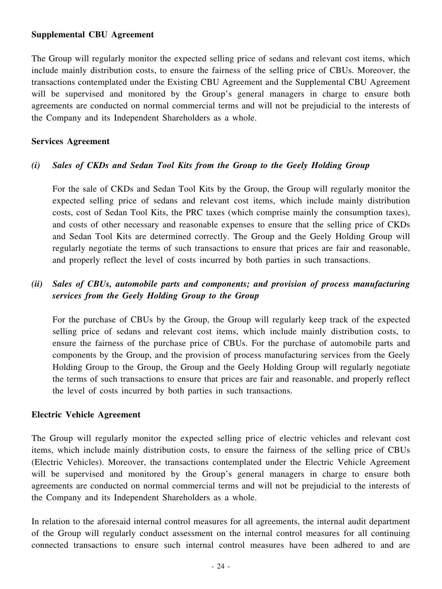#### **Supplemental CBU Agreement**

The Group will regularly monitor the expected selling price of sedans and relevant cost items, which include mainly distribution costs, to ensure the fairness of the selling price of CBUs. Moreover, the transactions contemplated under the Existing CBU Agreement and the Supplemental CBU Agreement will be supervised and monitored by the Group's general managers in charge to ensure both agreements are conducted on normal commercial terms and will not be prejudicial to the interests of the Company and its Independent Shareholders as a whole.

#### **Services Agreement**

## *(i) Sales of CKDs and Sedan Tool Kits from the Group to the Geely Holding Group*

For the sale of CKDs and Sedan Tool Kits by the Group, the Group will regularly monitor the expected selling price of sedans and relevant cost items, which include mainly distribution costs, cost of Sedan Tool Kits, the PRC taxes (which comprise mainly the consumption taxes), and costs of other necessary and reasonable expenses to ensure that the selling price of CKDs and Sedan Tool Kits are determined correctly. The Group and the Geely Holding Group will regularly negotiate the terms of such transactions to ensure that prices are fair and reasonable, and properly reflect the level of costs incurred by both parties in such transactions.

# *(ii) Sales of CBUs, automobile parts and components; and provision of process manufacturing services from the Geely Holding Group to the Group*

For the purchase of CBUs by the Group, the Group will regularly keep track of the expected selling price of sedans and relevant cost items, which include mainly distribution costs, to ensure the fairness of the purchase price of CBUs. For the purchase of automobile parts and components by the Group, and the provision of process manufacturing services from the Geely Holding Group to the Group, the Group and the Geely Holding Group will regularly negotiate the terms of such transactions to ensure that prices are fair and reasonable, and properly reflect the level of costs incurred by both parties in such transactions.

#### **Electric Vehicle Agreement**

The Group will regularly monitor the expected selling price of electric vehicles and relevant cost items, which include mainly distribution costs, to ensure the fairness of the selling price of CBUs (Electric Vehicles). Moreover, the transactions contemplated under the Electric Vehicle Agreement will be supervised and monitored by the Group's general managers in charge to ensure both agreements are conducted on normal commercial terms and will not be prejudicial to the interests of the Company and its Independent Shareholders as a whole.

In relation to the aforesaid internal control measures for all agreements, the internal audit department of the Group will regularly conduct assessment on the internal control measures for all continuing connected transactions to ensure such internal control measures have been adhered to and are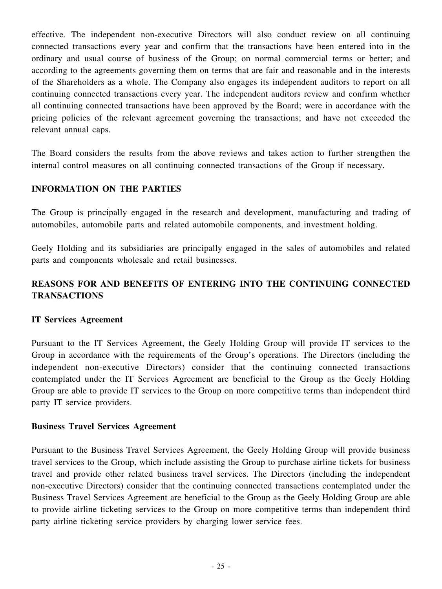effective. The independent non-executive Directors will also conduct review on all continuing connected transactions every year and confirm that the transactions have been entered into in the ordinary and usual course of business of the Group; on normal commercial terms or better; and according to the agreements governing them on terms that are fair and reasonable and in the interests of the Shareholders as a whole. The Company also engages its independent auditors to report on all continuing connected transactions every year. The independent auditors review and confirm whether all continuing connected transactions have been approved by the Board; were in accordance with the pricing policies of the relevant agreement governing the transactions; and have not exceeded the relevant annual caps.

The Board considers the results from the above reviews and takes action to further strengthen the internal control measures on all continuing connected transactions of the Group if necessary.

# **INFORMATION ON THE PARTIES**

The Group is principally engaged in the research and development, manufacturing and trading of automobiles, automobile parts and related automobile components, and investment holding.

Geely Holding and its subsidiaries are principally engaged in the sales of automobiles and related parts and components wholesale and retail businesses.

# **REASONS FOR AND BENEFITS OF ENTERING INTO THE CONTINUING CONNECTED TRANSACTIONS**

## **IT Services Agreement**

Pursuant to the IT Services Agreement, the Geely Holding Group will provide IT services to the Group in accordance with the requirements of the Group's operations. The Directors (including the independent non-executive Directors) consider that the continuing connected transactions contemplated under the IT Services Agreement are beneficial to the Group as the Geely Holding Group are able to provide IT services to the Group on more competitive terms than independent third party IT service providers.

#### **Business Travel Services Agreement**

Pursuant to the Business Travel Services Agreement, the Geely Holding Group will provide business travel services to the Group, which include assisting the Group to purchase airline tickets for business travel and provide other related business travel services. The Directors (including the independent non-executive Directors) consider that the continuing connected transactions contemplated under the Business Travel Services Agreement are beneficial to the Group as the Geely Holding Group are able to provide airline ticketing services to the Group on more competitive terms than independent third party airline ticketing service providers by charging lower service fees.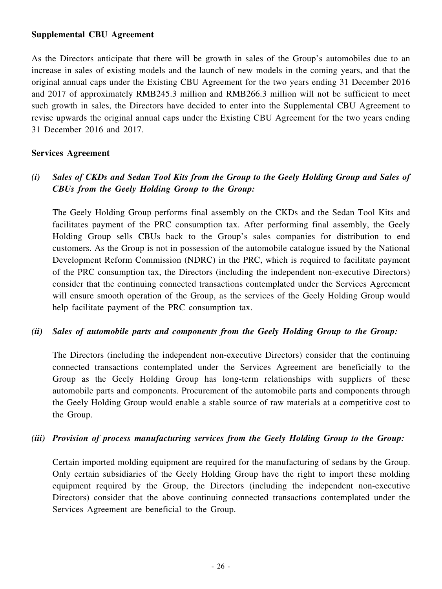#### **Supplemental CBU Agreement**

As the Directors anticipate that there will be growth in sales of the Group's automobiles due to an increase in sales of existing models and the launch of new models in the coming years, and that the original annual caps under the Existing CBU Agreement for the two years ending 31 December 2016 and 2017 of approximately RMB245.3 million and RMB266.3 million will not be sufficient to meet such growth in sales, the Directors have decided to enter into the Supplemental CBU Agreement to revise upwards the original annual caps under the Existing CBU Agreement for the two years ending 31 December 2016 and 2017.

## **Services Agreement**

# (i) Sales of CKDs and Sedan Tool Kits from the Group to the Geely Holding Group and Sales of *CBUs from the Geely Holding Group to the Group:*

The Geely Holding Group performs final assembly on the CKDs and the Sedan Tool Kits and facilitates payment of the PRC consumption tax. After performing final assembly, the Geely Holding Group sells CBUs back to the Group's sales companies for distribution to end customers. As the Group is not in possession of the automobile catalogue issued by the National Development Reform Commission (NDRC) in the PRC, which is required to facilitate payment of the PRC consumption tax, the Directors (including the independent non-executive Directors) consider that the continuing connected transactions contemplated under the Services Agreement will ensure smooth operation of the Group, as the services of the Geely Holding Group would help facilitate payment of the PRC consumption tax.

## *(ii) Sales of automobile parts and components from the Geely Holding Group to the Group:*

The Directors (including the independent non-executive Directors) consider that the continuing connected transactions contemplated under the Services Agreement are beneficially to the Group as the Geely Holding Group has long-term relationships with suppliers of these automobile parts and components. Procurement of the automobile parts and components through the Geely Holding Group would enable a stable source of raw materials at a competitive cost to the Group.

## *(iii) Provision of process manufacturing services from the Geely Holding Group to the Group:*

Certain imported molding equipment are required for the manufacturing of sedans by the Group. Only certain subsidiaries of the Geely Holding Group have the right to import these molding equipment required by the Group, the Directors (including the independent non-executive Directors) consider that the above continuing connected transactions contemplated under the Services Agreement are beneficial to the Group.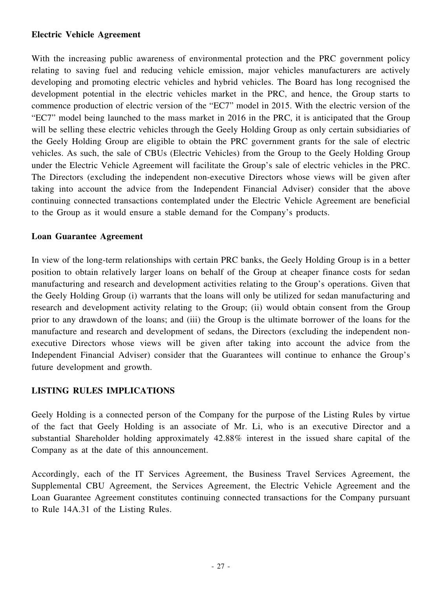#### **Electric Vehicle Agreement**

With the increasing public awareness of environmental protection and the PRC government policy relating to saving fuel and reducing vehicle emission, major vehicles manufacturers are actively developing and promoting electric vehicles and hybrid vehicles. The Board has long recognised the development potential in the electric vehicles market in the PRC, and hence, the Group starts to commence production of electric version of the "EC7" model in 2015. With the electric version of the "EC7" model being launched to the mass market in 2016 in the PRC, it is anticipated that the Group will be selling these electric vehicles through the Geely Holding Group as only certain subsidiaries of the Geely Holding Group are eligible to obtain the PRC government grants for the sale of electric vehicles. As such, the sale of CBUs (Electric Vehicles) from the Group to the Geely Holding Group under the Electric Vehicle Agreement will facilitate the Group's sale of electric vehicles in the PRC. The Directors (excluding the independent non-executive Directors whose views will be given after taking into account the advice from the Independent Financial Adviser) consider that the above continuing connected transactions contemplated under the Electric Vehicle Agreement are beneficial to the Group as it would ensure a stable demand for the Company's products.

#### **Loan Guarantee Agreement**

In view of the long-term relationships with certain PRC banks, the Geely Holding Group is in a better position to obtain relatively larger loans on behalf of the Group at cheaper finance costs for sedan manufacturing and research and development activities relating to the Group's operations. Given that the Geely Holding Group (i) warrants that the loans will only be utilized for sedan manufacturing and research and development activity relating to the Group; (ii) would obtain consent from the Group prior to any drawdown of the loans; and (iii) the Group is the ultimate borrower of the loans for the manufacture and research and development of sedans, the Directors (excluding the independent nonexecutive Directors whose views will be given after taking into account the advice from the Independent Financial Adviser) consider that the Guarantees will continue to enhance the Group's future development and growth.

# **LISTING RULES IMPLICATIONS**

Geely Holding is a connected person of the Company for the purpose of the Listing Rules by virtue of the fact that Geely Holding is an associate of Mr. Li, who is an executive Director and a substantial Shareholder holding approximately 42.88% interest in the issued share capital of the Company as at the date of this announcement.

Accordingly, each of the IT Services Agreement, the Business Travel Services Agreement, the Supplemental CBU Agreement, the Services Agreement, the Electric Vehicle Agreement and the Loan Guarantee Agreement constitutes continuing connected transactions for the Company pursuant to Rule 14A.31 of the Listing Rules.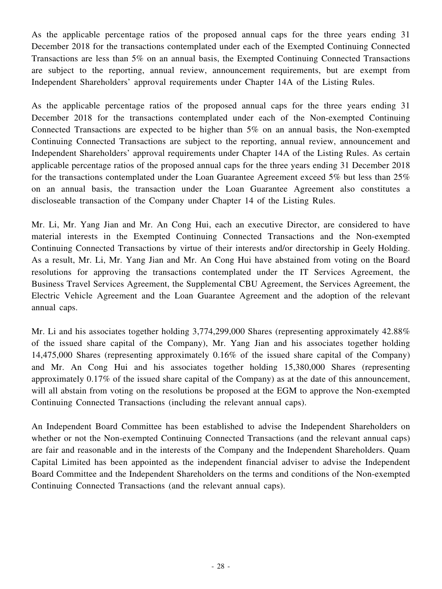As the applicable percentage ratios of the proposed annual caps for the three years ending 31 December 2018 for the transactions contemplated under each of the Exempted Continuing Connected Transactions are less than 5% on an annual basis, the Exempted Continuing Connected Transactions are subject to the reporting, annual review, announcement requirements, but are exempt from Independent Shareholders' approval requirements under Chapter 14A of the Listing Rules.

As the applicable percentage ratios of the proposed annual caps for the three years ending 31 December 2018 for the transactions contemplated under each of the Non-exempted Continuing Connected Transactions are expected to be higher than 5% on an annual basis, the Non-exempted Continuing Connected Transactions are subject to the reporting, annual review, announcement and Independent Shareholders' approval requirements under Chapter 14A of the Listing Rules. As certain applicable percentage ratios of the proposed annual caps for the three years ending 31 December 2018 for the transactions contemplated under the Loan Guarantee Agreement exceed 5% but less than 25% on an annual basis, the transaction under the Loan Guarantee Agreement also constitutes a discloseable transaction of the Company under Chapter 14 of the Listing Rules.

Mr. Li, Mr. Yang Jian and Mr. An Cong Hui, each an executive Director, are considered to have material interests in the Exempted Continuing Connected Transactions and the Non-exempted Continuing Connected Transactions by virtue of their interests and/or directorship in Geely Holding. As a result, Mr. Li, Mr. Yang Jian and Mr. An Cong Hui have abstained from voting on the Board resolutions for approving the transactions contemplated under the IT Services Agreement, the Business Travel Services Agreement, the Supplemental CBU Agreement, the Services Agreement, the Electric Vehicle Agreement and the Loan Guarantee Agreement and the adoption of the relevant annual caps.

Mr. Li and his associates together holding 3,774,299,000 Shares (representing approximately 42.88%) of the issued share capital of the Company), Mr. Yang Jian and his associates together holding 14,475,000 Shares (representing approximately 0.16% of the issued share capital of the Company) and Mr. An Cong Hui and his associates together holding 15,380,000 Shares (representing approximately 0.17% of the issued share capital of the Company) as at the date of this announcement, will all abstain from voting on the resolutions be proposed at the EGM to approve the Non-exempted Continuing Connected Transactions (including the relevant annual caps).

An Independent Board Committee has been established to advise the Independent Shareholders on whether or not the Non-exempted Continuing Connected Transactions (and the relevant annual caps) are fair and reasonable and in the interests of the Company and the Independent Shareholders. Quam Capital Limited has been appointed as the independent financial adviser to advise the Independent Board Committee and the Independent Shareholders on the terms and conditions of the Non-exempted Continuing Connected Transactions (and the relevant annual caps).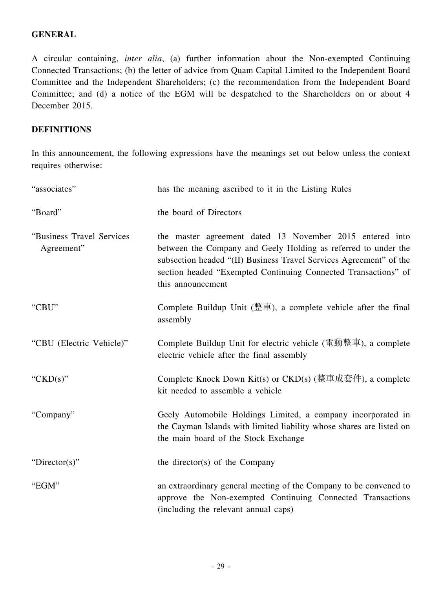# **GENERAL**

A circular containing, *inter alia*, (a) further information about the Non-exempted Continuing Connected Transactions; (b) the letter of advice from Quam Capital Limited to the Independent Board Committee and the Independent Shareholders; (c) the recommendation from the Independent Board Committee; and (d) a notice of the EGM will be despatched to the Shareholders on or about 4 December 2015.

# **DEFINITIONS**

In this announcement, the following expressions have the meanings set out below unless the context requires otherwise:

| "associates"                             | has the meaning ascribed to it in the Listing Rules                                                                                                                                                                                                                                     |
|------------------------------------------|-----------------------------------------------------------------------------------------------------------------------------------------------------------------------------------------------------------------------------------------------------------------------------------------|
| "Board"                                  | the board of Directors                                                                                                                                                                                                                                                                  |
| "Business Travel Services"<br>Agreement" | the master agreement dated 13 November 2015 entered into<br>between the Company and Geely Holding as referred to under the<br>subsection headed "(II) Business Travel Services Agreement" of the<br>section headed "Exempted Continuing Connected Transactions" of<br>this announcement |
| "CBU"                                    | Complete Buildup Unit (整車), a complete vehicle after the final<br>assembly                                                                                                                                                                                                              |
| "CBU (Electric Vehicle)"                 | Complete Buildup Unit for electric vehicle (電動整車), a complete<br>electric vehicle after the final assembly                                                                                                                                                                              |
| " $CKD(s)$ "                             | Complete Knock Down Kit(s) or $CKD(s)$ (整車成套件), a complete<br>kit needed to assemble a vehicle                                                                                                                                                                                          |
| "Company"                                | Geely Automobile Holdings Limited, a company incorporated in<br>the Cayman Islands with limited liability whose shares are listed on<br>the main board of the Stock Exchange                                                                                                            |
| "Director(s)"                            | the director(s) of the Company                                                                                                                                                                                                                                                          |
| "EGM"                                    | an extraordinary general meeting of the Company to be convened to<br>approve the Non-exempted Continuing Connected Transactions<br>(including the relevant annual caps)                                                                                                                 |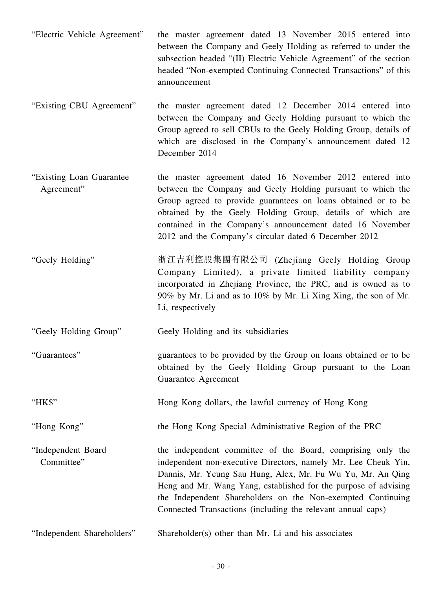- "Electric Vehicle Agreement" the master agreement dated 13 November 2015 entered into between the Company and Geely Holding as referred to under the subsection headed "(II) Electric Vehicle Agreement" of the section headed "Non-exempted Continuing Connected Transactions" of this announcement
- "Existing CBU Agreement" the master agreement dated 12 December 2014 entered into between the Company and Geely Holding pursuant to which the Group agreed to sell CBUs to the Geely Holding Group, details of which are disclosed in the Company's announcement dated 12 December 2014
- "Existing Loan Guarantee Agreement" the master agreement dated 16 November 2012 entered into between the Company and Geely Holding pursuant to which the Group agreed to provide guarantees on loans obtained or to be obtained by the Geely Holding Group, details of which are contained in the Company's announcement dated 16 November 2012 and the Company's circular dated 6 December 2012
- "Geely Holding" 浙江吉利控股集團有限公司 (Zhejiang Geely Holding Group Company Limited), a private limited liability company incorporated in Zhejiang Province, the PRC, and is owned as to 90% by Mr. Li and as to 10% by Mr. Li Xing Xing, the son of Mr. Li, respectively
- "Geely Holding Group" Geely Holding and its subsidiaries
- "Guarantees" guarantees to be provided by the Group on loans obtained or to be obtained by the Geely Holding Group pursuant to the Loan Guarantee Agreement
- "HK\$" Hong Kong dollars, the lawful currency of Hong Kong
- "Hong Kong" the Hong Kong Special Administrative Region of the PRC
- "Independent Board Committee" the independent committee of the Board, comprising only the independent non-executive Directors, namely Mr. Lee Cheuk Yin, Dannis, Mr. Yeung Sau Hung, Alex, Mr. Fu Wu Yu, Mr. An Qing Heng and Mr. Wang Yang, established for the purpose of advising the Independent Shareholders on the Non-exempted Continuing Connected Transactions (including the relevant annual caps)
- "Independent Shareholders" Shareholder(s) other than Mr. Li and his associates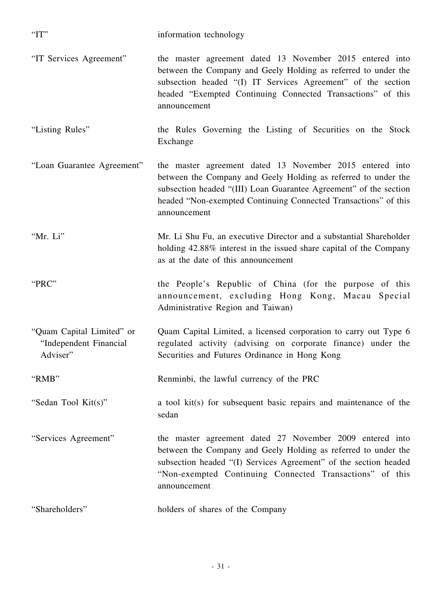- "IT Services Agreement" the master agreement dated 13 November 2015 entered into between the Company and Geely Holding as referred to under the subsection headed "(I) IT Services Agreement" of the section headed "Exempted Continuing Connected Transactions" of this announcement
- "Listing Rules" the Rules Governing the Listing of Securities on the Stock Exchange
- "Loan Guarantee Agreement" the master agreement dated 13 November 2015 entered into between the Company and Geely Holding as referred to under the subsection headed "(III) Loan Guarantee Agreement" of the section headed "Non-exempted Continuing Connected Transactions" of this announcement
- "Mr. Li" Mr. Li Shu Fu, an executive Director and a substantial Shareholder holding 42.88% interest in the issued share capital of the Company as at the date of this announcement
- "PRC" the People's Republic of China (for the purpose of this announcement, excluding Hong Kong, Macau Special Administrative Region and Taiwan)
- "Quam Capital Limited" or "Independent Financial Adviser" Quam Capital Limited, a licensed corporation to carry out Type 6 regulated activity (advising on corporate finance) under the Securities and Futures Ordinance in Hong Kong
- "RMB" Renminbi, the lawful currency of the PRC
- "Sedan Tool Kit(s)" a tool kit(s) for subsequent basic repairs and maintenance of the sedan
- "Services Agreement" the master agreement dated 27 November 2009 entered into between the Company and Geely Holding as referred to under the subsection headed "(I) Services Agreement" of the section headed "Non-exempted Continuing Connected Transactions" of this announcement
- "Shareholders" holders of shares of the Company